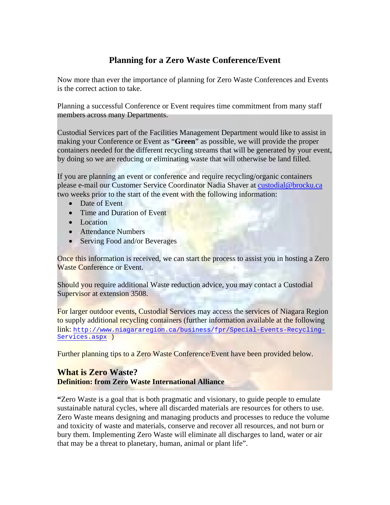# **Planning for a Zero Waste Conference/Event**

Now more than ever the importance of planning for Zero Waste Conferences and Events is the correct action to take.

Planning a successful Conference or Event requires time commitment from many staff members across many Departments.

Custodial Services part of the Facilities Management Department would like to assist in making your Conference or Event as "**Green**" as possible, we will provide the proper containers needed for the different recycling streams that will be generated by your event, by doing so we are reducing or eliminating waste that will otherwise be land filled.

If you are planning an event or conference and require recycling/organic containers please e-mail our Customer Service Coordinator Nadia Shaver at [custodial@brocku.ca](mailto:custodial@brocku.ca) two weeks prior to the start of the event with the following information:

- Date of Event
- Time and Duration of Event
- Location
- Attendance Numbers
- Serving Food and/or Beverages

Once this information is received, we can start the process to assist you in hosting a Zero Waste Conference or Event.

Should you require additional Waste reduction advice, you may contact a Custodial Supervisor at extension 3508.

For larger outdoor events, Custodial Services may access the services of Niagara Region to supply additional recycling containers (further information available at the following link: [http://www.niagararegion.ca/business/fpr/Special-Events-Recycling-](http://www.niagararegion.ca/business/fpr/Special-Events-Recycling-Services.aspx)[Services.aspx](http://www.niagararegion.ca/business/fpr/Special-Events-Recycling-Services.aspx) )

Further planning tips to a Zero Waste Conference/Event have been provided below.

## **What is Zero Waste? Definition: from Zero Waste International Alliance**

**"**Zero Waste is a goal that is both pragmatic and visionary, to guide people to emulate sustainable natural cycles, where all discarded materials are resources for others to use. Zero Waste means designing and managing products and processes to reduce the volume and toxicity of waste and materials, conserve and recover all resources, and not burn or bury them. Implementing Zero Waste will eliminate all discharges to land, water or air that may be a threat to planetary, human, animal or plant life".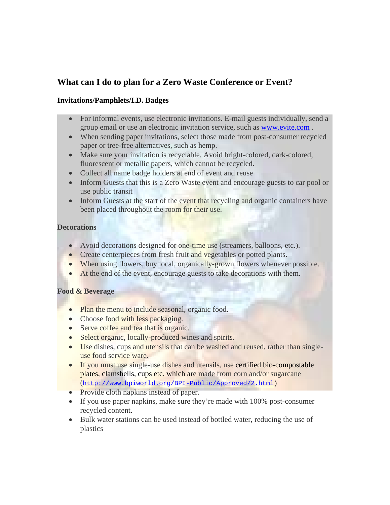## **What can I do to plan for a Zero Waste Conference or Event?**

#### **Invitations/Pamphlets/I.D. Badges**

- For informal events, use electronic invitations. E-mail guests individually, send a group email or use an electronic invitation service, such as [www.evite.com](http://www.evite.com/) .
- When sending paper invitations, select those made from post-consumer recycled paper or tree-free alternatives, such as hemp.
- Make sure your invitation is recyclable. Avoid bright-colored, dark-colored, fluorescent or metallic papers, which cannot be recycled.
- Collect all name badge holders at end of event and reuse
- Inform Guests that this is a Zero Waste event and encourage guests to car pool or use public transit
- Inform Guests at the start of the event that recycling and organic containers have been placed throughout the room for their use.

#### **Decorations**

- Avoid decorations designed for one-time use (streamers, balloons, etc.).
- Create centerpieces from fresh fruit and vegetables or potted plants.
- When using flowers, buy local, organically-grown flowers whenever possible.
- At the end of the event, encourage guests to take decorations with them.

#### **Food & Beverage**

- Plan the menu to include seasonal, organic food.
- Choose food with less packaging.
- Serve coffee and tea that is organic.
- Select organic, locally-produced wines and spirits.
- Use dishes, cups and utensils that can be washed and reused, rather than singleuse food service ware.
- If you must use single-use dishes and utensils, use certified bio-compostable plates, clamshells, cups etc. which are made from corn and/or sugarcane (<http://www.bpiworld.org/BPI-Public/Approved/2.html>)
- Provide cloth napkins instead of paper.
- If you use paper napkins, make sure they're made with 100% post-consumer recycled content.
- Bulk water stations can be used instead of bottled water, reducing the use of plastics